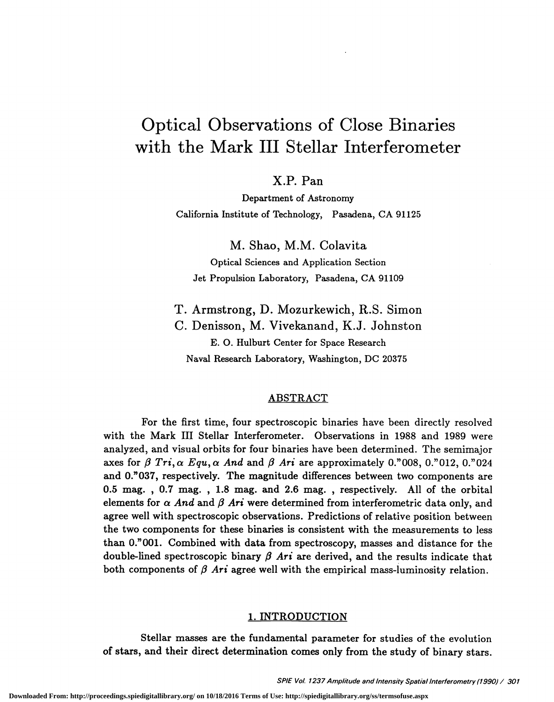# Optical Observations of Close Binaries with the Mark III Stellar Interferometer

x.P. Pan

Department of Astronomy California Institute of Technology, Pasadena, CA 91125

M. Shao, M.M. Colavita

Optical Sciences and Application Section Jet Propulsion Laboratory, Pasadena, CA 91109

T. Armstrong, D. Mozurkewich, R.S. Simon C. Denisson, M. Vivekanand, K.J. Johnston B. 0. Hulburt Center for Space Research Naval Research Laboratory, Washington, DC 20375

# ABSTRACT

For the first time, four spectroscopic binaries have been directly resolved with the Mark III Stellar Interferometer. Observations in 1988 and 1989 were analyzed, and visual orbits for four binaries have been determined. The semimajor axes for  $\beta$  Tri,  $\alpha$  Equ,  $\alpha$  And and  $\beta$  Ari are approximately 0."008, 0."012, 0."024 and O."037, respectively. The magnitude differences between two components are 0.5 mag. , 0.7 mag. , 1.8 mag. and 2.6 mag. , respectively. All of the orbital elements for  $\alpha$  And and  $\beta$  Ari were determined from interferometric data only, and agree well with spectroscopic observations. Predictions of relative position between the two components for these binaries is consistent with the measurements to less than O."OO1. Combined with data from spectroscopy, masses and distance for the double-lined spectroscopic binary  $\beta$  Ari are derived, and the results indicate that both components of  $\beta$  Ari agree well with the empirical mass-luminosity relation.

### 1. INTRODUCTION

Stellar masses are the fundamental parameter for studies of the evolution of stars, and their direct determination comes only from the study of binary stars.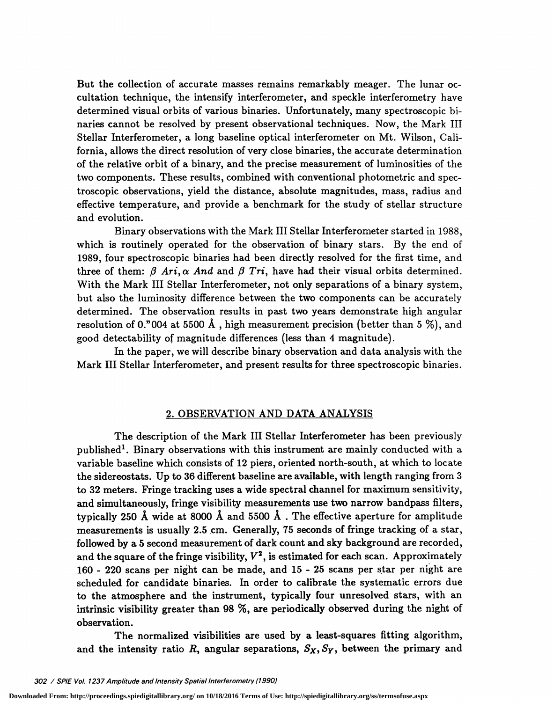But the collection of accurate masses remains remarkably meager. The lunar occultation technique, the intensify interferometer, and speckle interferometry have determined visual orbits of various binaries. Unfortunately, many spectroscopic hinaries cannot be resolved by present observational techniques. Now, the Mark III Stellar Interferometer, a long baseline optical interferometer on Mt. Wilson, California, allows the direct resolution of very close binaries, the accurate determination of the relative orbit of a binary, and the precise measurement of luminosities of the two components. These results, combined with conventional photometric and spectroscopic observations, yield the distance, absolute magnitudes, mass, radius and effective temperature, and provide a benchmark for the study of stellar structure and evolution.

Binary observations with the Mark III Stellar Interferometer started in 1988, which is routinely operated for the observation of binary stars. By the end of 1989, four spectroscopic binaries had been directly resolved for the first time, and three of them:  $\beta$  Ari,  $\alpha$  And and  $\beta$  Tri, have had their visual orbits determined. With the Mark III Stellar Interferometer, not only separations of a binary system, but also the luminosity difference between the two components can be accurately determined. The observation results in past two years demonstrate high angular resolution of 0."004 at 5500 Å, high measurement precision (better than 5  $\%$ ), and good detectability of magnitude differences (less than 4 magnitude).

In the paper, we will describe binary observation and data analysis with the Mark III Stellar Interferometer, and present results for three spectroscopic binaries.

### 2. OBSERVATION AND DATA ANALYSIS

The description of the Mark III Stellar Interferometer has been previously published'. Binary observations with this instrument are mainly conducted with a variable baseline which consists of 12 piers, oriented north-south, at which to locate the sidereostats. Up to 36 different baseline are available, with length ranging from 3 to 32 meters. Fringe tracking uses a wide spectral channel for maximum sensitivity, and simultaneously, fringe visibility measurements use two narrow bandpass filters, typically 250 Å wide at 8000 Å and 5500 Å. The effective aperture for amplitude measurements is usually 2.5 cm. Generally, 75 seconds of fringe tracking of a star, followed by a 5 second measurement of dark count and sky background are recorded, and the square of the fringe visibility,  $V^2$ , is estimated for each scan. Approximately 160 - 220 scans per night can be made, and 15 - 25 scans per star per night are scheduled for candidate binaries. In order to calibrate the systematic errors due to the atmosphere and the instrument, typically four unresolved stars, with an intrinsic visibility greater than 98 %, are periodically observed during the night of observation.

The normalized visibilities are used by a least-squares fitting algorithm, and the intensity ratio R, angular separations,  $S_X, S_Y$ , between the primary and

**Downloaded From: http://proceedings.spiedigitallibrary.org/ on 10/18/2016 Terms of Use: http://spiedigitallibrary.org/ss/termsofuse.aspx**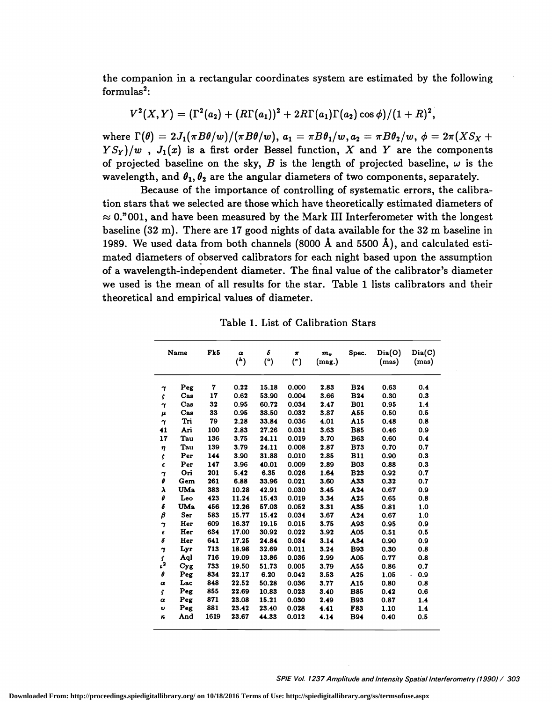the companion in a rectangular coordinates system are estimated by the following  $formulas<sup>2</sup>$ :

$$
V^2(X,Y) = (\Gamma^2(a_2) + (R\Gamma(a_1))^2 + 2R\Gamma(a_1)\Gamma(a_2)\cos\phi)/(1+R)^2,
$$

where  $\Gamma(\theta) = 2J_1(\pi B\theta/w)/(\pi B\theta/w)$ ,  $a_1 = \pi B\theta_1/w$ ,  $a_2 = \pi B\theta_2/w$ ,  $\phi = 2\pi(XS_X +$  $Y S_Y$ /w,  $J_1(x)$  is a first order Bessel function, X and Y are the components of projected baseline on the sky,  $B$  is the length of projected baseline,  $\omega$  is the wavelength, and  $\theta_1$ ,  $\theta_2$  are the angular diameters of two components, separately.

Because of the importance of controlling of systematic errors, the calibration stars that we selected are those which have theoretically estimated diameters of  $\approx$  0."001, and have been measured by the Mark III Interferometer with the longest baseline (32 m). There are 17 good nights of data available for the 32 m baseline in 1989. We used data from both channels (8000 Å and 5500 Å), and calculated estimated diameters of observed calibrators for each night based upon the assumption of a wavelength-independent diameter. The final value of the calibrator's diameter we used is the mean of all results for the star. Table 1 lists calibrators and their theoretical and empirical values of diameter.

Table 1. List of Calibration Stars

|                       | Name           | Fk5  | $\pmb{\alpha}$<br>$^{\left( h\right) }$ | δ<br>(°) | $\pmb{\pi}$<br>(") | $m_{v}$<br>(mag.) | Spec.      | $\mathrm{Dia}(\mathrm{O})$<br>(mas) | $\mathrm{ Dia}(C)$<br>(mas) |
|-----------------------|----------------|------|-----------------------------------------|----------|--------------------|-------------------|------------|-------------------------------------|-----------------------------|
| η                     | Peg            | 7    | 0.22                                    | 15.18    | 0.000              | 2.83              | <b>B24</b> | 0.63                                | 0.4                         |
| Š.                    | $\bf Cas$      | 17   | 0.62                                    | 53.90    | 0.004              | 3.66              | <b>B24</b> | 0.30                                | 0.3                         |
| $\gamma$              | $\bf Cas$      | 32   | 0.95                                    | 60.72    | 0.034              | 2.47              | <b>B01</b> | 0.95                                | 1.4                         |
| $\pmb{\mu}$           | Cas            | 33   | 0.95                                    | 38.50    | 0.032              | 3.87              | A55        | 0.50                                | 0.5                         |
| $\boldsymbol{\gamma}$ | Tri            | 79   | 2.28                                    | 33.84    | 0.036              | 4.01              | A15        | 0.48                                | 0.8                         |
| 41                    | Ari            | 100  | 2.83                                    | 27.26    | 0.031              | 3.63              | <b>B85</b> | 0.46                                | 0.9                         |
| 17                    | Tau            | 136  | 3.75                                    | 24.11    | 0.019              | 3.70              | <b>B63</b> | 0.60                                | 0.4                         |
| $\eta$                | Tau            | 139  | 3.79                                    | 24.11    | 0.008              | 2.87              | <b>B73</b> | 0.70                                | 0.7                         |
| Ŝ                     | Per            | 144  | 3.90                                    | 31.88    | 0.010              | 2.85              | <b>B11</b> | 0.90                                | 0.3                         |
| $\pmb{\epsilon}$      | Per            | 147  | 3.96                                    | 40.01    | 0.009              | 2.89              | <b>B03</b> | 0.88                                | 0.3                         |
| 7                     | Ori            | 201  | 5.42                                    | 6.35     | 0.026              | 1.64              | <b>B23</b> | 0.92                                | 0.7                         |
| θ                     | Gem            | 261  | 6.88                                    | 33.96    | 0.021              | 3.60              | A33        | 0.32                                | 0.7                         |
| λ                     | <b>UMa</b>     | 383  | 10.28                                   | 42.91    | 0.030              | 3.45              | A24        | 0.67                                | 0.9                         |
| θ                     | Leo            | 423  | 11.24                                   | 15.43    | 0.019              | 3.34              | A25        | 0.65                                | 0.8                         |
| б                     | <b>UMa</b>     | 456  | 12.26                                   | 57.03    | 0.052              | 3.31              | A35        | 0.81                                | 1.0                         |
| $\boldsymbol{\beta}$  | Ser            | 583  | 15.77                                   | 15.42    | 0.034              | 3.67              | A24        | 0.67                                | 1.0                         |
| $\mathbf{r}$          | Her            | 609  | 16.37                                   | 19.15    | 0.015              | 3.75              | A93        | 0.95                                | 0.9                         |
| $\epsilon$            | Her            | 634  | 17.00                                   | 30.92    | 0.022              | 3.92              | A05        | 0.51                                | 0.5                         |
| δ                     | Her            | 641  | 17.25                                   | 24.84    | 0.034              | 3.14              | A34        | 0.90                                | 0.9                         |
| $\boldsymbol{\gamma}$ | Lyr            | 713  | 18.98                                   | 32.69    | 0.011              | 3.24              | <b>B93</b> | 0.30                                | 0.8                         |
| $\int_{t^2}$          | Aql            | 716  | 19.09                                   | 13.86    | 0.036              | 2.99              | A05        | 0.77                                | 0.8                         |
|                       | Cyg            | 733  | 19.50                                   | 51.73    | 0.005              | 3.79              | A55        | 0.86                                | 0.7                         |
| $\pmb{\theta}$        | Peg            | 834  | 22.17                                   | 6.20     | 0.042              | 3.53              | A25        | 1.05                                | 0.9<br>¥.                   |
| $\alpha$              | Lac            | 848  | 22.52                                   | 50.28    | 0.036              | 3.77              | A15        | 0.80                                | 0.8                         |
| \$                    | Peg            | 855  | 22.69                                   | 10.83    | 0.023              | 3.40              | <b>B85</b> | 0.42                                | 0.6                         |
| $\pmb{\alpha}$        | Peg            | 871  | 23.08                                   | 15.21    | 0.030              | 2.49              | <b>B93</b> | 0.87                                | 1.4                         |
| U                     | $Pe\mathbf{g}$ | 881  | 23.42                                   | 23.40    | 0.028              | 4.41              | <b>F83</b> | 1.10                                | 1.4                         |
| $\kappa$              | And            | 1619 | 23.67                                   | 44.33    | 0.012              | 4.14              | <b>B94</b> | 0.40                                | 0.5                         |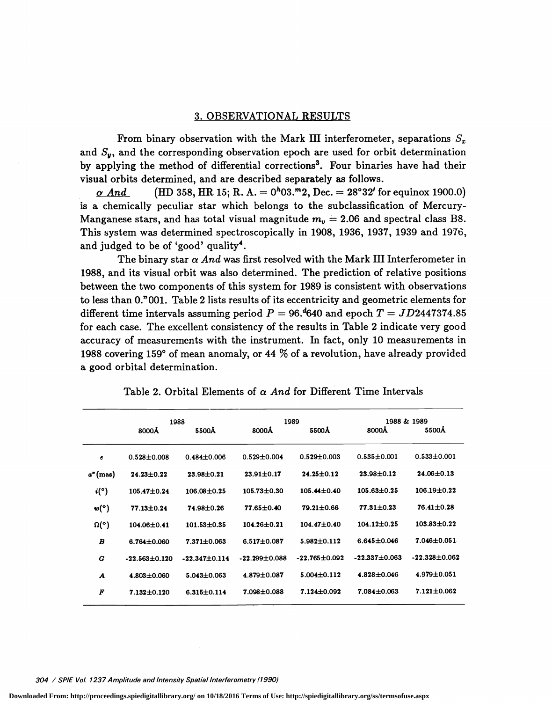# 3. OBSERVATIONAL RESULTS

From binary observation with the Mark III interferometer, separations  $S_x$ and  $S_{\nu}$ , and the corresponding observation epoch are used for orbit determination by applying the method of differential corrections3. Four binaries have had their visual orbits determined, and are described separately as follows.

 $\alpha$  And (HD 358, HR 15; R. A. = 0<sup>h</sup>03.<sup>m</sup>2, Dec. = 28°32' for equinox 1900.0) is a chemically peculiar star which belongs to the subclassification of Mercury-Manganese stars, and has total visual magnitude  $m_v = 2.06$  and spectral class B8. This system was determined spectroscopically in 1908, 1936, 1937, 1939 and 1976, and judged to be of 'good' quality4.

The binary star  $\alpha$  And was first resolved with the Mark III Interferometer in 1988, and its visual orbit was also determined. The prediction of relative positions between the two components of this system for 1989 is consistent with observations to less than 0."001. Table 2 lists results of its eccentricity and geometric elements for different time intervals assuming period  $P = 96.4640$  and epoch  $T = JD2447374.85$ for each case. The excellent consistency of the results in Table 2 indicate very good accuracy of measurements with the instrument. In fact, only 10 measurements in 1988 covering 159° of mean anomaly, or 44 % of a revolution, have already provided a good orbital determination.

|                                               | 1988                |                     | 1989                |                     |                   | 1988 & 1989         |
|-----------------------------------------------|---------------------|---------------------|---------------------|---------------------|-------------------|---------------------|
|                                               | 8000Å               | 5500Å               | 8000Å               | 5500Å               | 8000Å             | 5500Å               |
| $\epsilon$                                    | $0.528 + 0.008$     | $0.484 \pm 0.006$   | $0.529 \pm 0.004$   | $0.529 \pm 0.003$   | $0.535 \pm 0.001$ | $0.533 \pm 0.001$   |
| $a^*(\text{mas})$                             | $24.23 \pm 0.22$    | $23.98 \pm 0.21$    | $23.91 \pm 0.17$    | $24.25 \pm 0.12$    | $23.98 \pm 0.12$  | $24.06 \pm 0.13$    |
| $\mathbf{i}$ <sup>(<math>\circ</math></sup> ) | $105.47 \pm 0.24$   | $106.08 \pm 0.25$   | $105.73 \pm 0.30$   | $105.44 \pm 0.40$   | $105.63 \pm 0.25$ | $106.19 \pm 0.22$   |
| w(°)                                          | $77.13 \pm 0.24$    | 74.98±0.26          | $77.65 \pm 0.40$    | $79.21 \pm 0.66$    | $77.31 \pm 0.23$  | $76.41 \pm 0.28$    |
| $\Omega(\circ)$                               | 104.06±0.41         | $101.53 \pm 0.35$   | $104.26 \pm 0.21$   | $104.47 \pm 0.40$   | $104.12 \pm 0.25$ | $103.83 \pm 0.22$   |
| $\boldsymbol{B}$                              | $6.764 \pm 0.060$   | $7.371 \pm 0.063$   | $6.517 \pm 0.087$   | $5.982 \pm 0.112$   | $6.645 \pm 0.046$ | 7.046±0.051         |
| G                                             | $-22.563 \pm 0.120$ | $-22.347 \pm 0.114$ | $-22.299 \pm 0.088$ | $-22.765 \pm 0.092$ | $-22.337 + 0.063$ | $-22.328 \pm 0.062$ |
| A                                             | $4.803 \pm 0.060$   | $5.043 \pm 0.063$   | $4.879 \pm 0.087$   | $5.004 \pm 0.112$   | $4.828 \pm 0.046$ | $4.979 \pm 0.051$   |
| F                                             | $7.132 \pm 0.120$   | $6.315 \pm 0.114$   | $7.098 \pm 0.088$   | 7.124±0.092         | $7.084 \pm 0.063$ | $7.121 \pm 0.062$   |

Table 2. Orbital Elements of  $\alpha$  And for Different Time Intervals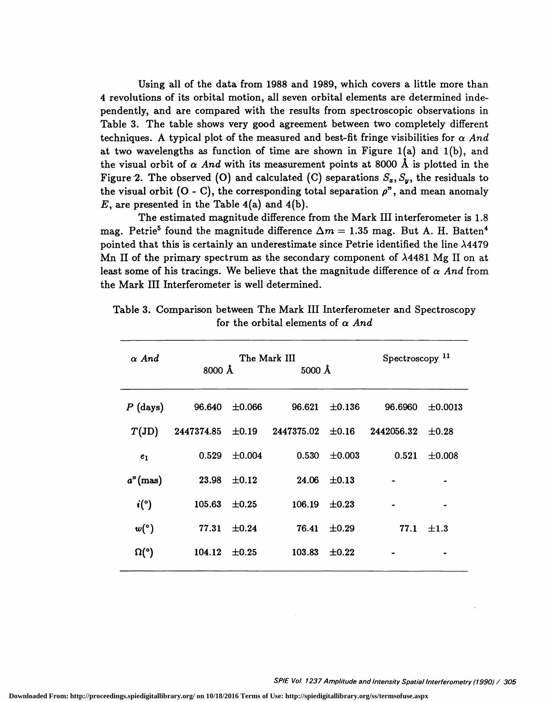Using all of the data from 1988 and 1989, which covers a little more than 4 revolutions of its orbital motion, all seven orbital elements are determined inde pendently, and are compared with the results from spectroscopic observations in Table 3. The table shows very good agreement between two completely different techniques. A typical plot of the measured and best-fit fringe visibilities for  $\alpha$  And at two wavelengths as function of time are shown in Figure  $1(a)$  and  $1(b)$ , and the visual orbit of  $\alpha$  And with its measurement points at 8000 Å is plotted in the Figure 2. The observed (O) and calculated (C) separations  $S_z$ ,  $S_y$ , the residuals to the visual orbit (O - C), the corresponding total separation  $\rho$ <sup>n</sup>, and mean anomaly  $E$ , are presented in the Table 4(a) and 4(b).

The estimated magnitude difference from the Mark III interferometer is 1.8 mag. Petrie<sup>5</sup> found the magnitude difference  $\Delta m = 1.35$  mag. But A. H. Batten<sup>4</sup> pointed that this is certainly an underestimate since Petrie identified the line  $\lambda$ 4479 Mn II of the primary spectrum as the secondary component of A4481 Mg II on at least some of his tracings. We believe that the magnitude difference of  $\alpha$  And from the Mark III Interferometer is well determined.

| $\alpha$ And               | 8000 Å |                    | The Mark III<br>$5000 \text{ Å}$                             |                  | Spectroscopy <sup>11</sup> |              |
|----------------------------|--------|--------------------|--------------------------------------------------------------|------------------|----------------------------|--------------|
| $P$ (days)                 |        | 96.640 $\pm 0.066$ | 96.621                                                       | $\pm 0.136$      | 96.6960                    | $\pm 0.0013$ |
| $T({\rm JD})$              |        |                    | $2447374.85$ $\pm 0.19$ $2447375.02$ $\pm 0.16$ $2442056.32$ |                  |                            | $\pm 0.28$   |
| e <sub>1</sub>             | 0.529  | $\pm 0.004$        | 0.530                                                        | $\pm 0.003$      | 0.521                      | ±0.008       |
| $a^n$ (mas)                | 23.98  | $\pm 0.12$         |                                                              | $24.06 \pm 0.13$ |                            |              |
| $\boldsymbol{i}(\text{°})$ | 105.63 | $\pm 0.25$         | 106.19                                                       | $\pm 0.23$       |                            |              |
| w(°)                       | 77.31  | $\pm 0.24$         | 76.41                                                        | $\pm 0.29$       | 77.1                       | $\pm 1.3$    |
| $\Omega$ <sup>o</sup> )    | 104.12 | $\pm 0.25$         | 103.83                                                       | $\pm 0.22$       |                            |              |
|                            |        |                    |                                                              |                  |                            |              |

Table 3. Comparison between The Mark III Interferometer and Spectroscopy for the orbital elements of  $\alpha$  And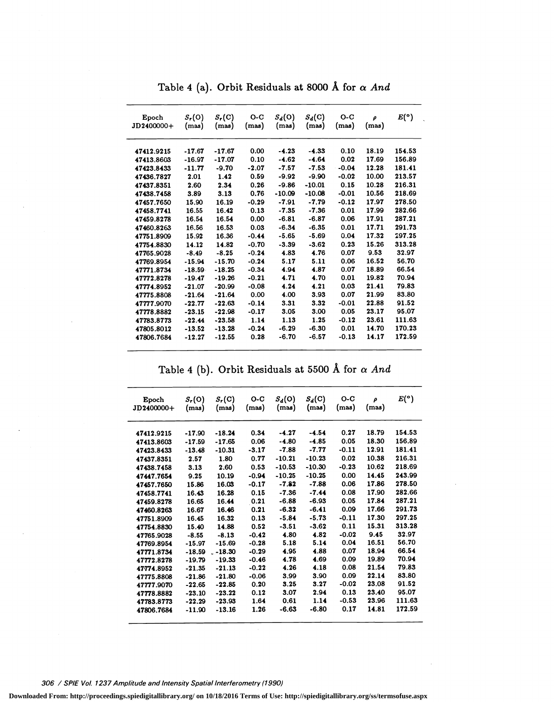| Epoch<br>JD2400000+ | $S_r(0)$<br>(mas) | $S_r(C)$<br>(mas) | $O-C$<br>(mas) | $S_d(0)$<br>(mas) | $S_d(C)$<br>(mas) | $O-C$<br>(mas) | ρ<br>(mas) | E(°)   |
|---------------------|-------------------|-------------------|----------------|-------------------|-------------------|----------------|------------|--------|
| 47412.9215          | $-17.67$          | $-17.67$          | 0.00           | $-4.23$           | $-4.33$           | 0.10           | 18.19      | 154.53 |
| 47413.8603          | $-16.97$          | $-17.07$          | 0.10           | $-4.62$           | $-4.64$           | 0.02           | 17.69      | 156.89 |
| 47423.8433          | $-11.77$          | $-9.70$           | $-2.07$        | $-7.57$           | $-7.53$           | $-0.04$        | 12.28      | 181.41 |
| 47436.7827          | 2.01              | 1.42              | 0.59           | $-9.92$           | $-9.90$           | $-0.02$        | 10.00      | 213.57 |
| 47437.8351          | 2.60              | 2.34              | 0.26           | $-9.86$           | $-10.01$          | 0.15           | 10.28      | 216.31 |
| 47438.7458          | 3.89              | 3.13              | 0.76           | $-10.09$          | $-10.08$          | $-0.01$        | 10.56      | 218.69 |
| 47457.7650          | 15.90             | 16.19             | $-0.29$        | $-7.91$           | $-7.79$           | $-0.12$        | 17.97      | 278.50 |
| 47458.7741          | 16.55             | 16.42             | 0.13           | $-7.35$           | $-7.36$           | 0.01           | 17.99      | 282.66 |
| 47459.8278          | 16.54             | 16.54             | 0.00           | $-6.81$           | $-6.87$           | 0.06           | 17.91      | 287.21 |
| 47460.8263          | 16.56             | 16.53             | 0.03           | $-6.34$           | $-6.35$           | 0.01           | 17.71      | 291.73 |
| 47751.8909          | 15.92             | 16.36             | $-0.44$        | $-5.65$           | $-5.69$           | 0.04           | 17.32      | 297.25 |
| 47754.8830          | 14.12             | 14.82             | $-0.70$        | $-3.39$           | $-3.62$           | 0.23           | 15.26      | 313.28 |
| 47765.9028          | $-8.49$           | $-8.25$           | $-0.24$        | 4.83              | 4.76              | 0.07           | 9.53       | 32.97  |
| 47769.8954          | $-15.94$          | $-15.70$          | $-0.24$        | 5.17              | 5.11              | 0.06           | 16.52      | 56.70  |
| 47771.8734          | $-18.59$          | $-18.25$          | $-0.34$        | 4.94              | 4.87              | 0.07           | 18.89      | 66.54  |
| 47772.8278          | $-19.47$          | $-19.26$          | $-0.21$        | 4.71              | 4.70              | 0.01           | 19.82      | 70.94  |
| 47774.8952          | $-21.07$          | $-20.99$          | $-0.08$        | 4.24              | 4.21              | 0.03           | 21.41      | 79.83  |
| 47775.8808          | $-21.64$          | $-21.64$          | 0.00           | 4.00              | 3.93              | 0.07           | 21.99      | 83.80  |
| 47777.9070          | $-22.77$          | $-22.63$          | $-0.14$        | 3.31              | 3.32              | $-0.01$        | 22.88      | 91.52  |
| 47778.8882          | $-23.15$          | $-22.98$          | $-0.17$        | 3.05              | 3.00              | 0.05           | 23.17      | 95.07  |
| 47783.8773          | $-22.44$          | $-23.58$          | 1.14           | 1.13              | 1.25              | $-0.12$        | 23.61      | 111.63 |
| 47805.8012          | $-13.52$          | $-13.28$          | $-0.24$        | $-6.29$           | $-6.30$           | 0.01           | 14.70      | 170.23 |
| 47806.7684          | $-12.27$          | $-12.55$          | 0.28           | $-6.70$           | $-6.57$           | $-0.13$        | 14.17      | 172.59 |

Table 4 (a). Orbit Residuals at 8000 Å for  $\alpha$  And

Table 4 (b). Orbit Residuals at 5500 Å for  $\alpha$  And

| Epoch<br>JD2400000+ | $S_r(0)$<br>(mas) | $S_r(C)$<br>(mas) | $O-C$<br>(mas) | $S_d(0)$<br>(mas) | $S_d(C)$<br>(mas) | $O-C$<br>(mas) | ρ<br>(mas) | E(°)   |
|---------------------|-------------------|-------------------|----------------|-------------------|-------------------|----------------|------------|--------|
|                     |                   |                   |                |                   |                   |                |            |        |
| 47412.9215          | $-17.90$          | $-18.24$          | 0.34           | $-4.27$           | $-4.54$           | 0.27           | 18.79      | 154.53 |
| 47413.8603          | $-17.59$          | $-17.65$          | 0.06           | $-4.80$           | $-4.85$           | 0.05           | 18.30      | 156.89 |
| 47423.8433          | $-13.48$          | $-10.31$          | $-3.17$        | $-7.88$           | $-7.77$           | $-0.11$        | 12.91      | 181.41 |
| 47437.8351          | 2.57              | 1.80              | 0.77           | $-10.21$          | $-10.23$          | 0.02           | 10.38      | 216.31 |
| 47438.7458          | 3.13              | 2.60              | 0.53           | $-10.53$          | $-10.30$          | $-0.23$        | 10.62      | 218.69 |
| 47447.7654          | 9.25              | 10.19             | $-0.94$        | $-10.25$          | $-10.25$          | 0.00           | 14.45      | 243.99 |
| 47457.7650          | 15.86             | 16.03             | $-0.17$        | $-7.82$           | $-7.88$           | 0.06           | 17.86      | 278.50 |
| 47458.7741          | 16.43             | 16.28             | 0.15           | $-7.36$           | $-7.44$           | 0.08           | 17.90      | 282.66 |
| 47459.8278          | 16.65             | 16.44             | 0.21           | $-6.88$           | $-6.93$           | 0.05           | 17.84      | 287.21 |
| 47460.8263          | 16.67             | 16.46             | 0.21           | $-6.32$           | $-6.41$           | 0.09           | 17.66      | 291.73 |
| 47751.8909          | 16.45             | 16.32             | 0.13           | $-5.84$           | $-5.73$           | $-0.11$        | 17.30      | 297.25 |
| 47754.8830          | 15.40             | 14.88             | 0.52           | $-3.51$           | $-3.62$           | 0.11           | 15.31      | 313.28 |
| 47765.9028          | $-8.55$           | $-8.13$           | $-0.42$        | 4.80              | 4.82              | $-0.02$        | 9.45       | 32.97  |
| 47769.8954          | $-15.97$          | $-15.69$          | $-0.28$        | 5.18              | 5.14              | 0.04           | 16.51      | 56.70  |
| 47771.8734          | $-18.59$          | $-18.30$          | $-0.29$        | 4.95              | 4.88              | 0.07           | 18.94      | 66.54  |
| 47772.8278          | $-19.79$          | $-19.33$          | $-0.46$        | 4.78              | 4.69              | 0.09           | 19.89      | 70.94  |
| 47774.8952          | $-21.35$          | $-21.13$          | $-0.22$        | 4.26              | 4.18              | 0.08           | 21.54      | 79.83  |
| 47775.8808          | $-21.86$          | $-21.80$          | $-0.06$        | 3.99              | 3.90              | 0.09           | 22.14      | 83.80  |
| 47777.9070          | $-22.65$          | $-22.85$          | 0.20           | 3.25              | 3.27              | $-0.02$        | 23.08      | 91.52  |
| 47778.8882          | $-23.10$          | $-23.22$          | 0.12           | 3.07              | 2.94              | 0.13           | 23.40      | 95.07  |
| 47783.8773          | $-22.29$          | $-23.93$          | 1.64           | 0.61              | 1.14              | $-0.53$        | 23.96      | 111.63 |
| 47806.7684          | $-11.90$          | $-13.16$          | 1.26           | $-6.63$           | $-6.80$           | 0.17           | 14.81      | 172.59 |

306 / SPIE Vol. 1237 Amplitude and Intensity Spatial Interferometry (1990)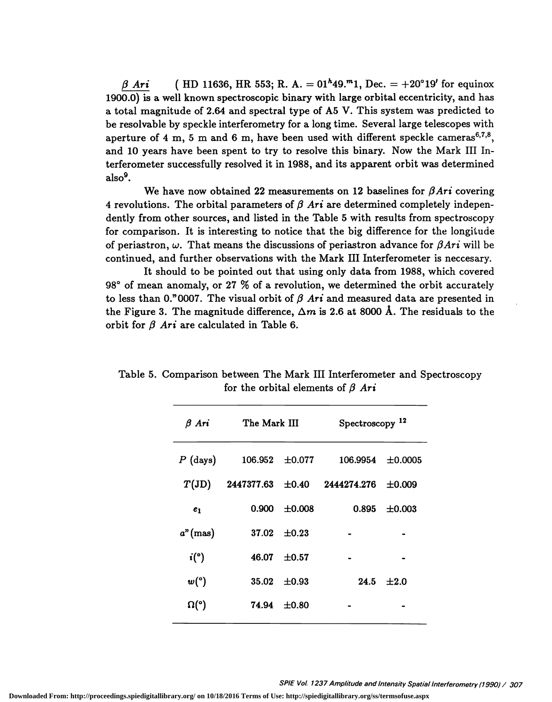(HD 11636, HR 553; R. A. =  $01^{h}49.^{m}1$ , Dec. =  $+20^{\circ}19'$  for equinox  $\beta$  Ari 1900.0) is a well known spectroscopic binary with large orbital eccentricity, and has a total magnitude of 2.64 and spectral type of A5 V. This system was predicted to be resolvable by speckle interferometry for a long time. Several large telescopes with aperture of 4 m, 5 m and 6 m, have been used with different speckle cameras<sup>6,7,8</sup>, and 10 years have been spent to try to resolve this binary. Now the Mark III Interferometer successfully resolved it in 1988, and its apparent orbit was determined  $also<sup>9</sup>$ .

We have now obtained 22 measurements on 12 baselines for  $\beta A r i$  covering 4 revolutions. The orbital parameters of  $\beta$  Ari are determined completely independently from other sources, and listed in the Table 5 with results from spectroscopy for comparison. It is interesting to notice that the big difference for the longitude of periastron,  $\omega$ . That means the discussions of periastron advance for  $\beta A r i$  will be continued, and further observations with the Mark III Interferometer is neccesary.

It should to be pointed out that using only data from 1988, which covered 98° of mean anomaly, or 27 % of a revolution, we determined the orbit accurately to less than 0."0007. The visual orbit of  $\beta$  Ari and measured data are presented in the Figure 3. The magnitude difference,  $\Delta m$  is 2.6 at 8000 Å. The residuals to the orbit for  $\beta$  Ari are calculated in Table 6.

| $\beta$ Ari    | The Mark III |             | Spectroscopy <sup>12</sup> |             |
|----------------|--------------|-------------|----------------------------|-------------|
| $P$ (days)     | 106.952      | $\pm 0.077$ | 106.9954                   | ±0.0005     |
| $T({\rm JD})$  | 2447377.63   | $\pm 0.40$  | 2444274.276                | $\pm 0.009$ |
| e <sub>1</sub> | 0.900        | ±0.008      | 0.895                      | ±0.003      |
| $a^n$ (mas)    | 37.02        | $+0.23$     |                            |             |
| i(°)           | 46.07        | $\pm 0.57$  |                            |             |
| w(°)           | 35.02        | $\pm 0.93$  | 24.5                       | $+2.0$      |
| $\Omega$ (°)   | 74.94        | ±0.80       |                            |             |
|                |              |             |                            |             |

Table 5. Comparison between The Mark III Interferometer and Spectroscopy for the orbital elements of  $\beta$  Ari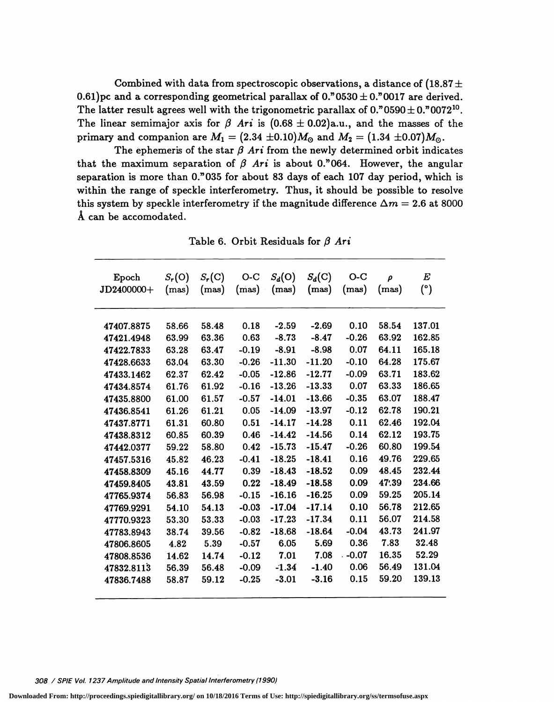Combined with data from spectroscopic observations, a distance of  $(18.87 \pm$ 0.61)pc and a corresponding geometrical parallax of  $0.^{n}0530 \pm 0.^{n}0017$  are derived. The latter result agrees well with the trigonometric parallax of  $0.^{n}0590 \pm 0.^{n}0072^{10}$ . The linear semimajor axis for  $\beta$  Ari is  $(0.68 \pm 0.02)$ a.u., and the masses of the primary and companion are  $M_1 = (2.34 \pm 0.10) M_{\odot}$  and  $M_2 = (1.34 \pm 0.07) M_{\odot}$ .

The ephemeris of the star  $\beta$  Ari from the newly determined orbit indicates that the maximum separation of  $\beta$  Ari is about 0."064. However, the angular separation is more than O."035 for about 83 days of each 107 day period, which is within the range of speckle interferometry. Thus, it should be possible to resolve this system by speckle interferometry if the magnitude difference  $\Delta m = 2.6$  at 8000 A can be accomodated.

Table 6. Orbit Residuals for  $\beta$  Ari

| Epoch<br>JD2400000+ | $S_r(O)$<br>(mas) | $S_r(C)$<br>(mas) | $O-C$<br>(mas) | $S_d(0)$<br>(mas) | $S_d(C)$<br>(mas) | $O-C$<br>(mas) | $\rho$<br>(mas) | $\boldsymbol{E}$<br>$(^\circ)$ |
|---------------------|-------------------|-------------------|----------------|-------------------|-------------------|----------------|-----------------|--------------------------------|
| 47407.8875          | 58.66             | 58.48             | 0.18           | $-2.59$           | $-2.69$           | 0.10           | 58.54           | 137.01                         |
| 47421.4948          | 63.99             | 63.36             | 0.63           | $-8.73$           | $-8.47$           | $-0.26$        | 63.92           | 162.85                         |
| 47422.7833          | 63.28             | 63.47             | $-0.19$        | $-8.91$           | $-8.98$           | 0.07           | 64.11           | 165.18                         |
| 47428.6633          | 63.04             | 63.30             | $-0.26$        | $-11.30$          | $-11.20$          | $-0.10$        | 64.28           | 175.67                         |
| 47433.1462          | 62.37             | 62.42             | $-0.05$        | $-12.86$          | $-12.77$          | $-0.09$        | 63.71           | 183.62                         |
| 47434.8574          | 61.76             | 61.92             | $-0.16$        | $-13.26$          | $-13.33$          | 0.07           | 63.33           | 186.65                         |
| 47435.8800          | 61.00             | 61.57             | $-0.57$        | $-14.01$          | $-13.66$          | $-0.35$        | 63.07           | 188.47                         |
| 47436.8541          | 61.26             | 61.21             | 0.05           | $-14.09$          | $-13.97$          | $-0.12$        | 62.78           | 190.21                         |
| 47437.8771          | 61.31             | 60.80             | 0.51           | $-14.17$          | $-14.28$          | 0.11           | 62.46           | 192.04                         |
| 47438.8312          | 60.85             | 60.39             | 0.46           | $-14.42$          | $-14.56$          | 0.14           | 62.12           | 193.75                         |
| 47442.0377          | 59.22             | 58.80             | 0.42           | $-15.73$          | $-15.47$          | $-0.26$        | 60.80           | 199.54                         |
| 47457.5316          | 45.82             | 46.23             | $-0.41$        | $-18.25$          | $-18.41$          | 0.16           | 49.76           | 229.65                         |
| 47458.8309          | 45.16             | 44.77             | 0.39           | $-18.43$          | $-18.52$          | 0.09           | 48.45           | 232.44                         |
| 47459.8405          | 43.81             | 43.59             | 0.22           | $-18.49$          | $-18.58$          | 0.09           | 47.39           | 234.66                         |
| 47765.9374          | 56.83             | 56.98             | $-0.15$        | $-16.16$          | $-16.25$          | 0.09           | 59.25           | 205.14                         |
| 47769.9291          | 54.10             | 54.13             | $-0.03$        | $-17.04$          | $-17.14$          | 0.10           | 56.78           | 212.65                         |
| 47770.9323          | 53.30             | 53.33             | $-0.03$        | $-17.23$          | $-17.34$          | 0.11           | 56.07           | 214.58                         |
| 47783.8943          | 38.74             | 39.56             | $-0.82$        | $-18.68$          | $-18.64$          | $-0.04$        | 43.73           | 241.97                         |
| 47806.8605          | 4.82              | 5.39              | $-0.57$        | 6.05              | 5.69              | 0.36           | 7.83            | 32.48                          |
| 47808.8536          | 14.62             | 14.74             | $-0.12$        | 7.01              | 7.08              | $. -0.07$      | 16.35           | 52.29                          |
| 47832.8113          | 56.39             | 56.48             | $-0.09$        | $-1.34$           | $-1.40$           | 0.06           | 56.49           | 131.04                         |
| 47836.7488          | 58.87             | 59.12             | $-0.25$        | $-3.01$           | $-3.16$           | 0.15           | 59.20           | 139.13                         |

308 / SPIE Vol. 1237 Amplitude and Intensity Spatial Interferometry (1990)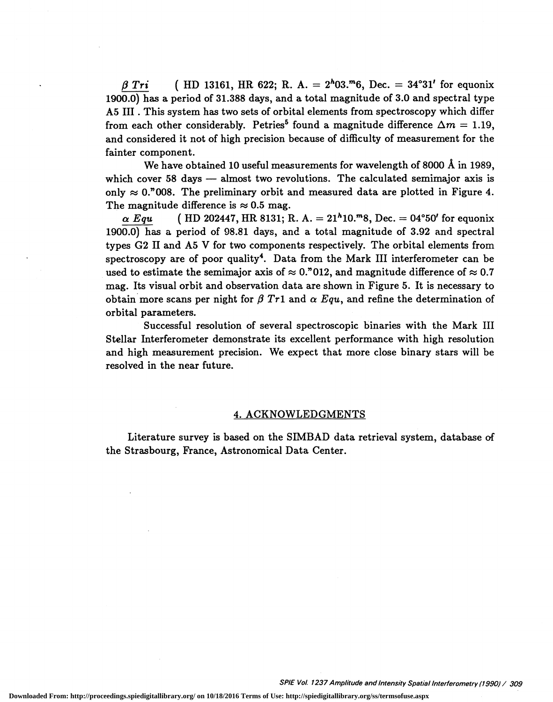$\beta$  Tri ( HD 13161, HR 622; R. A. = 2<sup>h</sup>03.<sup>m</sup>6, Dec. = 34°31' for equonix 1900.0) has a period of 31.388 days, and a total magnitude of 3.0 and spectral type A5 III . This system has two sets of orbital elements from spectroscopy which differ from each other considerably. Petries<sup>5</sup> found a magnitude difference  $\Delta m = 1.19$ , and considered it not of high precision because of difficulty of measurement for the fainter component.

We have obtained 10 useful measurements for wavelength of 8000 Å in 1989, which cover 58 days — almost two revolutions. The calculated semimajor axis is only  $\approx 0.7008$ . The preliminary orbit and measured data are plotted in Figure 4. The magnitude difference is  $\approx 0.5$  mag.

 $\alpha$  Equ ( HD 202447, HR 8131; R. A. = 21<sup>h</sup>10.<sup>m</sup>8, Dec. = 04°50' for equonix 1900.0) has a period of 98.81 days, and a total magnitude of 3.92 and spectral types G2 II and A5 V for two components respectively. The orbital elements from spectroscopy are of poor quality<sup>4</sup>. Data from the Mark III interferometer can be used to estimate the semimajor axis of  $\approx 0.7012$ , and magnitude difference of  $\approx 0.7$ mag. Its visual orbit and observation data are shown in Figure 5. It is necessary to obtain more scans per night for  $\beta$  Tr1 and  $\alpha$  Equ, and refine the determination of orbital parameters.

Successful resolution of several spectroscopic binaries with the Mark III Stellar Interferometer demonstrate its excellent performance with high resolution and high measurement precision. We expect that more close binary stars will be resolved in the near future.

#### 4. ACKNOWLEDGMENTS

Literature survey is based on the SIMBAD data retrieval system, database of the Strasbourg, France, Astronomical Data Center.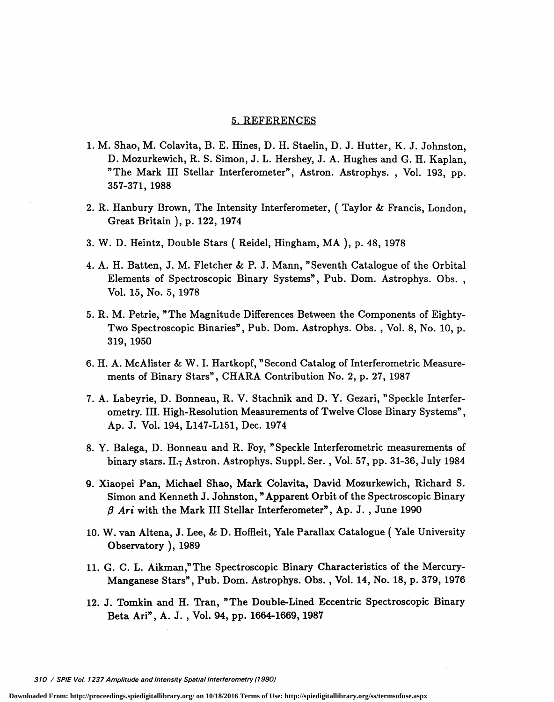#### 5. REFERENCES

- 1. M. Shao, M. Colavita, B. E. Hines, D. H. Staelin, D. J. Hutter, K. J. Johnston, D. Mozurkewich, R. S. Simon, J. L. Hershey, J. A. Hughes and G. H. Kaplan, "The Mark III Stellar Interferometer", Astron. Astrophys., Vol. 193, pp. 357-371, 1988
- 2. R. Hanbury Brown, The Intensity Interferometer, ( Taylor & Francis, London, Great Britain ), p. 122, 1974
- 3. W. D. Heintz, Double Stars ( Reidel, Hingham, MA ), p. 48, 1978
- 4. A. H. Batten, J. M. Fletcher & P. J. Mann, "Seventh Catalogue of the Orbital Elements of Spectroscopic Binary Systems", Pub. Dom. Astrophys. Obs., Vol. 15, No. 5, 1978
- 5. R. M. Petrie, "The Magnitude Differences Between the Components of Eighty-Two Spectroscopic Binaries", Pub. Dom. Astrophys. Obs., Vol. 8, No. 10, p. 319, 1950
- 6. H. A. McAlister & W. I. Hartkopf, "Second Catalog of Interferometric Measurements of Binary Stars", CHARA Contribution No. 2, p. 27, 1987
- 7. A. Labeyrie, D. Bonneau, R. V. Stachnik and D. Y. Gezari, "Speckle Interferometry. III. High-Resolution Measurements of Twelve Close Binary Systems", Ap. J. Vol. 194, L147-L151, Dec. 1974
- 8. Y. Balega, D. Bonneau and R. Foy, "Speckle Interferometric measurements of binary stars. II.; Astron. Astrophys. Suppl. Ser., Vol. 57, pp. 31-36, July 1984
- 9. Xiaopei Pan, Michael Shao, Mark Colavita, David Mozurkewich, Richard S. Simon and Kenneth J. Johnston, "Apparent Orbit of the Spectroscopic Binary  $\beta$  Ari with the Mark III Stellar Interferometer", Ap. J., June 1990
- 10. W. van Altena, J. Lee, & D. Hoffleit, Yale Parallax Catalogue (Yale University Observatory), 1989
- 11. G. C. L. Aikman,"The Spectroscopic Binary Characteristics of the Mercury-Manganese Stars", Pub. Dom. Astrophys. Obs., Vol. 14, No. 18, p. 379, 1976
- 12. J. Tomkin and H. Tran, "The Double-Lined Eccentric Spectroscopic Binary Beta An", A. J. , Vol. 94, pp. 1664-1669, 1987

310 / SPIE Vol. 1237 Amplitude and Intensity Spatial Interferometry (1990)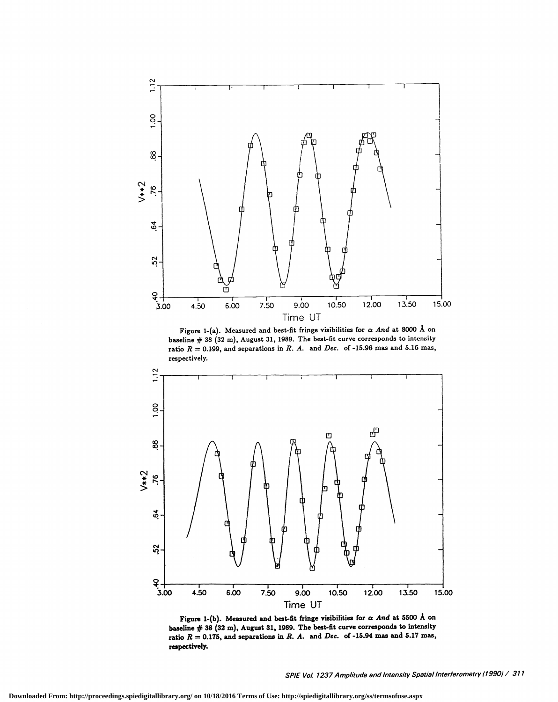

Figure 1-(a). Measured and best-fit fringe visibilities for  $\alpha$  And at 8000 Å on baseline  $# 38$  (32 m), August 31, 1989. The best-fit curve corresponds to intensity ratio  $R = 0.199$ , and separations in R. A. and Dec. of -15.96 mas and 5.16 mas, respectively.



Figure 1-(b). Measured and best-fit fringe visibilities for  $\alpha$  And at 5500 Å on baseline  $#$  38 (32 m), August 31, 1989. The best-fit curve corresponds to intensity ratio  $R = 0.175$ , and separations in R. A. and Dec. of -15.94 mas and 5.17 mas, respectively.

SPIE Vol. 1237 Amplitude and Intensity Spatial Interferometry (1990) / 311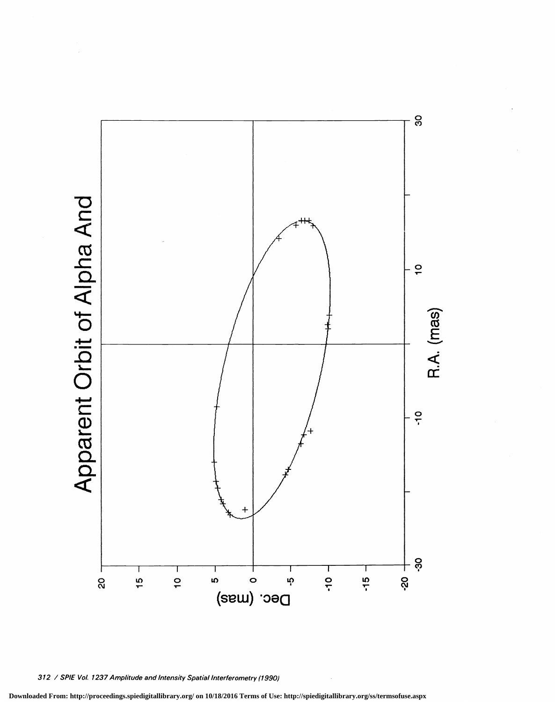80 Apparent Orbit of Alpha And  $\frac{1}{2}$ R.A. (mas)  $-9$  $+$  နိ  $\frac{1}{10}$  $\frac{1}{2}$ T Ţ Ţ  $\mathbf{I}$ **Q2-** $\frac{15}{1}$  $-15$ Q<br>Q  $\mathfrak{g}$  $\circ$  $\ddot{\mathbf{v}}$ Dec. (mas)

312 / SPIE Vol. 1237 Amplitude and Intensity Spatial Interferometry (1990)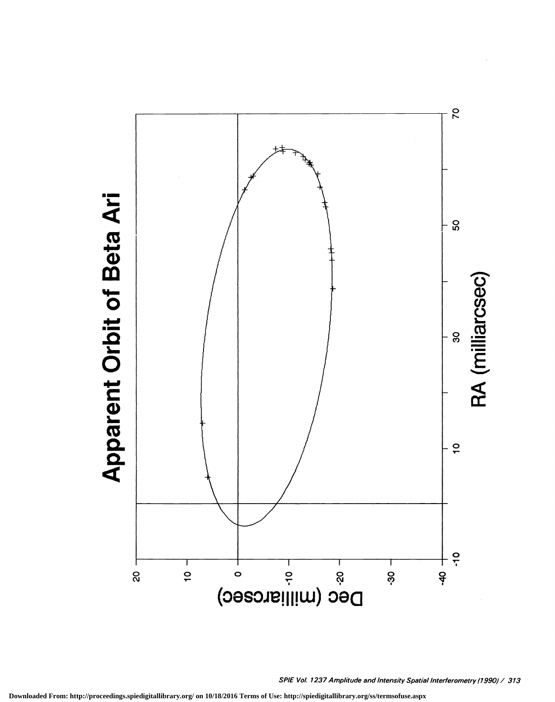

**Apparent Orbit of Beta Ari** 

SPIE Vol. 1237 Amplitude and Intensity Spatial Interferometry (1990) / 313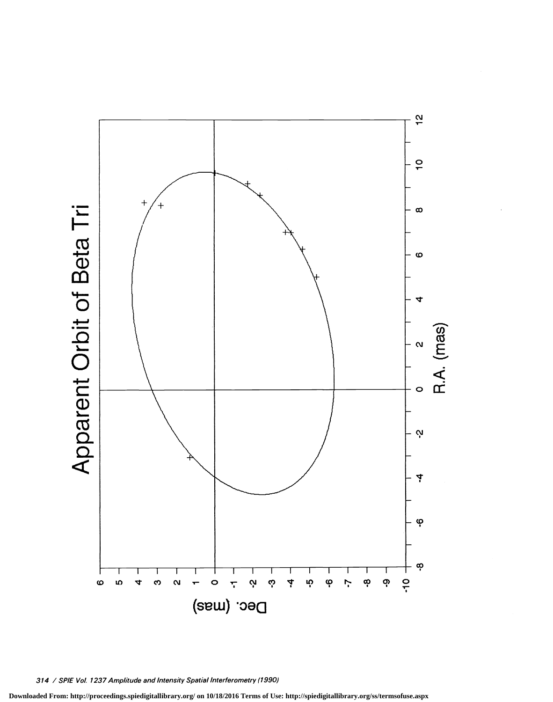